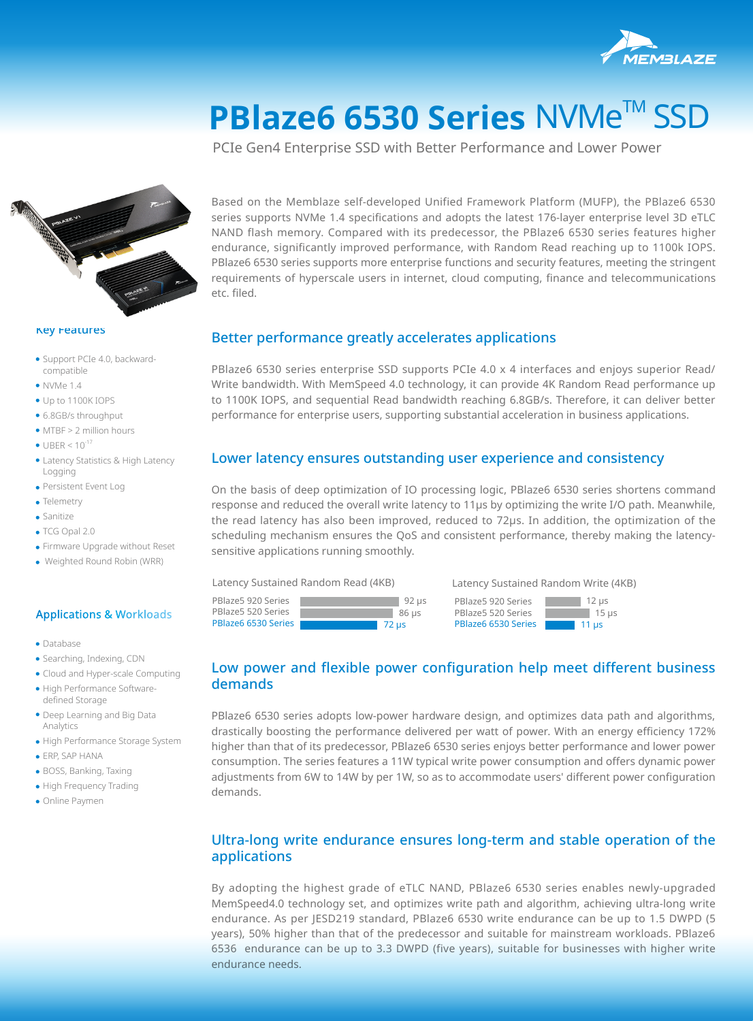

# **PBlaze6 6530 Series NVMe™ SSD**

PCIe Gen4 Enterprise SSD with Better Performance and Lower Power



#### **Key Features**

- · Support PCIe 4.0, backwardcompatible
- $\bullet$  NVMe 1.4
- Up to 1100K IOPS
- 6.8GB/s throughput
- MTBF > 2 million hours
- $\bullet$  UBER < 10<sup>-17</sup>
- Latency Statistics & High Latency Logging
- Persistent Event Log
- **C**Telemetry
- **•** Sanitize
- TCG Opal 2.0
- Firmware Upgrade without Reset
- Weighted Round Robin (WRR)

#### Applications & Workloads

- **•** Database
- Searching, Indexing, CDN
- Cloud and Hyper-scale Computing
- High Performance Softwaredefined Storage
- Deep Learning and Big Data Analytics
- High Performance Storage System
- **ERP, SAP HANA**
- BOSS, Banking, Taxing
- High Frequency Trading
- Online Paymen

Based on the Memblaze self-developed Unified Framework Platform (MUFP), the PBlaze6 6530 series supports NVMe 1.4 specifications and adopts the latest 176-layer enterprise level 3D eTLC NAND flash memory. Compared with its predecessor, the PBlaze6 6530 series features higher endurance, significantly improved performance, with Random Read reaching up to 1100k IOPS. PBlaze6 6530 series supports more enterprise functions and security features, meeting the stringent requirements of hyperscale users in internet, cloud computing, finance and telecommunications etc. filed.

### Better performance greatly accelerates applications

PBlaze6 6530 series enterprise SSD supports PCIe 4.0 x 4 interfaces and enjoys superior Read/ Write bandwidth. With MemSpeed 4.0 technology, it can provide 4K Random Read performance up to 1100K IOPS, and sequential Read bandwidth reaching 6.8GB/s. Therefore, it can deliver better performance for enterprise users, supporting substantial acceleration in business applications.

#### Lower latency ensures outstanding user experience and consistency

On the basis of deep optimization of IO processing logic, PBlaze6 6530 series shortens command response and reduced the overall write latency to 11μs by optimizing the write I/O path. Meanwhile, the read latency has also been improved, reduced to 72μs. In addition, the optimization of the scheduling mechanism ensures the QoS and consistent performance, thereby making the latencysensitive applications running smoothly.

Latency Sustained Random Read (4KB)

PBlaze5 920 Series PBlaze5 520 Series PBlaze6 6530 Series Latency Sustained Random Write (4KB)

PBlaze5 920 Series 92 μs 12 μs PBlaze5 520 Series 86 μs 15 μs PBlaze6 6530 Series 72 μs 11 μs

# Low power and flexible power configuration help meet different business demands

PBlaze6 6530 series adopts low-power hardware design, and optimizes data path and algorithms, drastically boosting the performance delivered per watt of power. With an energy efficiency 172% higher than that of its predecessor, PBlaze6 6530 series enjoys better performance and lower power consumption. The series features a 11W typical write power consumption and offers dynamic power adjustments from 6W to 14W by per 1W, so as to accommodate users' different power configuration demands.

## Ultra-long write endurance ensures long-term and stable operation of the applications

By adopting the highest grade of eTLC NAND, PBlaze6 6530 series enables newly-upgraded MemSpeed4.0 technology set, and optimizes write path and algorithm, achieving ultra-long write endurance. As per JESD219 standard, PBlaze6 6530 write endurance can be up to 1.5 DWPD (5 years), 50% higher than that of the predecessor and suitable for mainstream workloads. PBlaze6 6536 endurance can be up to 3.3 DWPD (five years), suitable for businesses with higher write endurance needs.